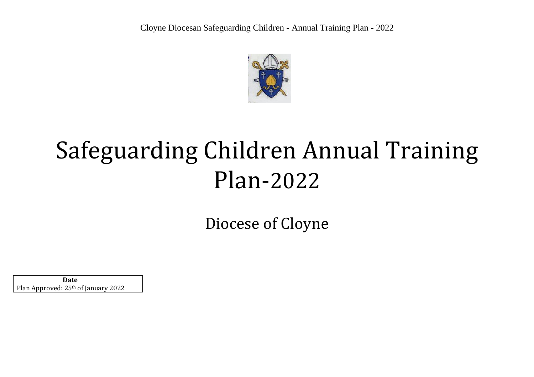

## Safeguarding Children Annual Training Plan-2022

Diocese of Cloyne

 **Date** Plan Approved: 25th of January 2022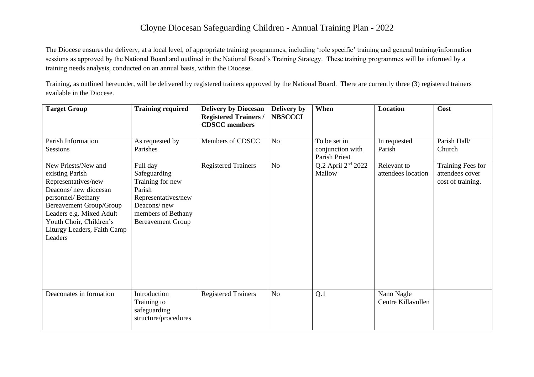## Cloyne Diocesan Safeguarding Children - Annual Training Plan - 2022

The Diocese ensures the delivery, at a local level, of appropriate training programmes, including 'role specific' training and general training/information sessions as approved by the National Board and outlined in the National Board's Training Strategy. These training programmes will be informed by a training needs analysis, conducted on an annual basis, within the Diocese.

Training, as outlined hereunder, will be delivered by registered trainers approved by the National Board. There are currently three (3) registered trainers available in the Diocese.

| <b>Target Group</b>                                                                                                                                                                                                                    | <b>Training required</b>                                                                                                                       | <b>Delivery by Diocesan</b><br><b>Registered Trainers /</b><br><b>CDSCC</b> members | Delivery by<br><b>NBSCCCI</b> | When                                              | <b>Location</b>                   | Cost                                                      |
|----------------------------------------------------------------------------------------------------------------------------------------------------------------------------------------------------------------------------------------|------------------------------------------------------------------------------------------------------------------------------------------------|-------------------------------------------------------------------------------------|-------------------------------|---------------------------------------------------|-----------------------------------|-----------------------------------------------------------|
| Parish Information<br>Sessions                                                                                                                                                                                                         | As requested by<br>Parishes                                                                                                                    | Members of CDSCC                                                                    | N <sub>o</sub>                | To be set in<br>conjunction with<br>Parish Priest | In requested<br>Parish            | Parish Hall/<br>Church                                    |
| New Priests/New and<br>existing Parish<br>Representatives/new<br>Deacons/new diocesan<br>personnel/Bethany<br>Bereavement Group/Group<br>Leaders e.g. Mixed Adult<br>Youth Choir, Children's<br>Liturgy Leaders, Faith Camp<br>Leaders | Full day<br>Safeguarding<br>Training for new<br>Parish<br>Representatives/new<br>Deacons/new<br>members of Bethany<br><b>Bereavement Group</b> | <b>Registered Trainers</b>                                                          | No                            | Q.2 April 2 <sup>nd</sup> 2022<br>Mallow          | Relevant to<br>attendees location | Training Fees for<br>attendees cover<br>cost of training. |
| Deaconates in formation                                                                                                                                                                                                                | Introduction<br>Training to<br>safeguarding<br>structure/procedures                                                                            | <b>Registered Trainers</b>                                                          | No                            | Q.1                                               | Nano Nagle<br>Centre Killavullen  |                                                           |